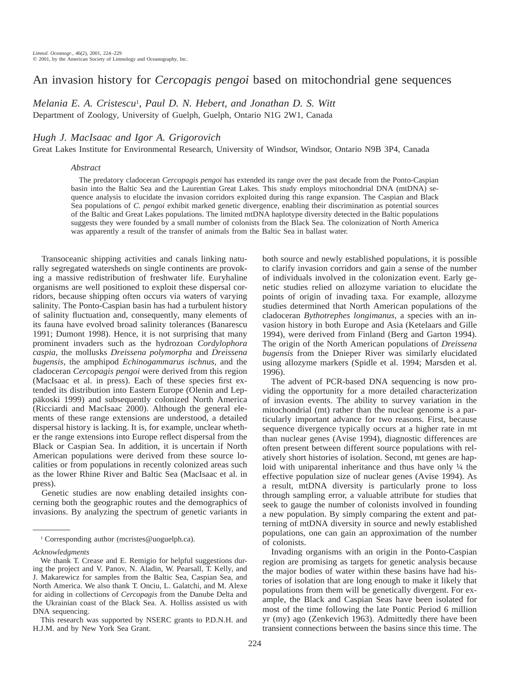# An invasion history for *Cercopagis pengoi* based on mitochondrial gene sequences

*Melania E. A. Cristescu*<sup>1</sup> , *Paul D. N. Hebert*, *and Jonathan D. S. Witt* Department of Zoology, University of Guelph, Guelph, Ontario N1G 2W1, Canada

## *Hugh J. MacIsaac and Igor A. Grigorovich*

Great Lakes Institute for Environmental Research, University of Windsor, Windsor, Ontario N9B 3P4, Canada

#### *Abstract*

The predatory cladoceran *Cercopagis pengoi* has extended its range over the past decade from the Ponto-Caspian basin into the Baltic Sea and the Laurentian Great Lakes. This study employs mitochondrial DNA (mtDNA) sequence analysis to elucidate the invasion corridors exploited during this range expansion. The Caspian and Black Sea populations of *C. pengoi* exhibit marked genetic divergence, enabling their discrimination as potential sources of the Baltic and Great Lakes populations. The limited mtDNA haplotype diversity detected in the Baltic populations suggests they were founded by a small number of colonists from the Black Sea. The colonization of North America was apparently a result of the transfer of animals from the Baltic Sea in ballast water.

Transoceanic shipping activities and canals linking naturally segregated watersheds on single continents are provoking a massive redistribution of freshwater life. Euryhaline organisms are well positioned to exploit these dispersal corridors, because shipping often occurs via waters of varying salinity. The Ponto-Caspian basin has had a turbulent history of salinity fluctuation and, consequently, many elements of its fauna have evolved broad salinity tolerances (Banarescu 1991; Dumont 1998). Hence, it is not surprising that many prominent invaders such as the hydrozoan *Cordylophora caspia,* the mollusks *Dreissena polymorpha* and *Dreissena bugensis,* the amphipod *Echinogammarus ischnus,* and the cladoceran *Cercopagis pengoi* were derived from this region (MacIsaac et al. in press). Each of these species first extended its distribution into Eastern Europe (Olenin and Leppäkoski 1999) and subsequently colonized North America (Ricciardi and MacIsaac 2000). Although the general elements of these range extensions are understood, a detailed dispersal history is lacking. It is, for example, unclear whether the range extensions into Europe reflect dispersal from the Black or Caspian Sea. In addition, it is uncertain if North American populations were derived from these source localities or from populations in recently colonized areas such as the lower Rhine River and Baltic Sea (MacIsaac et al. in press).

Genetic studies are now enabling detailed insights concerning both the geographic routes and the demographics of invasions. By analyzing the spectrum of genetic variants in

*Acknowledgments*

both source and newly established populations, it is possible to clarify invasion corridors and gain a sense of the number of individuals involved in the colonization event. Early genetic studies relied on allozyme variation to elucidate the points of origin of invading taxa. For example, allozyme studies determined that North American populations of the cladoceran *Bythotrephes longimanus,* a species with an invasion history in both Europe and Asia (Ketelaars and Gille 1994), were derived from Finland (Berg and Garton 1994). The origin of the North American populations of *Dreissena bugensis* from the Dnieper River was similarly elucidated using allozyme markers (Spidle et al. 1994; Marsden et al. 1996).

The advent of PCR-based DNA sequencing is now providing the opportunity for a more detailed characterization of invasion events. The ability to survey variation in the mitochondrial (mt) rather than the nuclear genome is a particularly important advance for two reasons. First, because sequence divergence typically occurs at a higher rate in mt than nuclear genes (Avise 1994), diagnostic differences are often present between different source populations with relatively short histories of isolation. Second, mt genes are haploid with uniparental inheritance and thus have only  $\frac{1}{4}$  the effective population size of nuclear genes (Avise 1994). As a result, mtDNA diversity is particularly prone to loss through sampling error, a valuable attribute for studies that seek to gauge the number of colonists involved in founding a new population. By simply comparing the extent and patterning of mtDNA diversity in source and newly established populations, one can gain an approximation of the number of colonists.

Invading organisms with an origin in the Ponto-Caspian region are promising as targets for genetic analysis because the major bodies of water within these basins have had histories of isolation that are long enough to make it likely that populations from them will be genetically divergent. For example, the Black and Caspian Seas have been isolated for most of the time following the late Pontic Period 6 million yr (my) ago (Zenkevich 1963). Admittedly there have been transient connections between the basins since this time. The

<sup>&</sup>lt;sup>1</sup> Corresponding author (mcristes@uoguelph.ca).

We thank T. Crease and E. Remigio for helpful suggestions during the project and V. Panov, N. Aladin, W. Pearsall, T. Kelly, and J. Makarewicz for samples from the Baltic Sea, Caspian Sea, and North America. We also thank T. Onciu, L. Galatchi, and M. Alexe for aiding in collections of *Cercopagis* from the Danube Delta and the Ukrainian coast of the Black Sea. A. Holliss assisted us with DNA sequencing.

This research was supported by NSERC grants to P.D.N.H. and H.J.M. and by New York Sea Grant.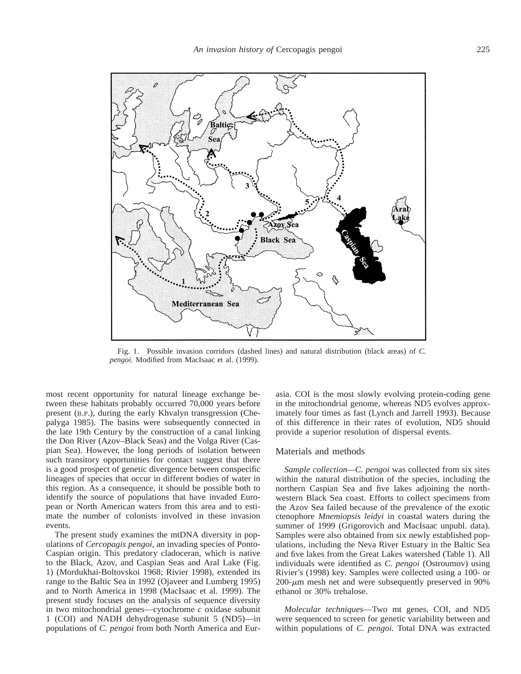

Fig. 1. Possible invasion corridors (dashed lines) and natural distribution (black areas) of *C. pengoi.* Modified from MacIsaac et al. (1999).

most recent opportunity for natural lineage exchange between these habitats probably occurred 70,000 years before present (B.P.), during the early Khvalyn transgression (Chepalyga 1985). The basins were subsequently connected in the late 19th Century by the construction of a canal linking the Don River (Azov–Black Seas) and the Volga River (Caspian Sea). However, the long periods of isolation between such transitory opportunities for contact suggest that there is a good prospect of genetic divergence between conspecific lineages of species that occur in different bodies of water in this region. As a consequence, it should be possible both to identify the source of populations that have invaded European or North American waters from this area and to estimate the number of colonists involved in these invasion events.

The present study examines the mtDNA diversity in populations of *Cercopagis pengoi,* an invading species of Ponto-Caspian origin. This predatory cladoceran, which is native to the Black, Azov, and Caspian Seas and Aral Lake (Fig. 1) (Mordukhai-Boltovskoi 1968; Rivier 1998), extended its range to the Baltic Sea in 1992 (Ojaveer and Lumberg 1995) and to North America in 1998 (MacIsaac et al. 1999). The present study focuses on the analysis of sequence diversity in two mitochondrial genes—cytochrome *c* oxidase subunit 1 (COI) and NADH dehydrogenase subunit 5 (ND5)—in populations of *C. pengoi* from both North America and Eurasia. COI is the most slowly evolving protein-coding gene in the mitochondrial genome, whereas ND5 evolves approximately four times as fast (Lynch and Jarrell 1993). Because of this difference in their rates of evolution, ND5 should provide a superior resolution of dispersal events.

### Materials and methods

*Sample collection—C. pengoi* was collected from six sites within the natural distribution of the species, including the northern Caspian Sea and five lakes adjoining the northwestern Black Sea coast. Efforts to collect specimens from the Azov Sea failed because of the prevalence of the exotic ctenophore *Mnemiopsis leidyi* in coastal waters during the summer of 1999 (Grigorovich and MacIsaac unpubl. data). Samples were also obtained from six newly established populations, including the Neva River Estuary in the Baltic Sea and five lakes from the Great Lakes watershed (Table 1). All individuals were identified as *C. pengoi* (Ostroumov) using Rivier's (1998) key. Samples were collected using a 100- or  $200-\mu m$  mesh net and were subsequently preserved in 90% ethanol or 30% trehalose.

*Molecular techniques*—Two mt genes, COI, and ND5 were sequenced to screen for genetic variability between and within populations of *C. pengoi.* Total DNA was extracted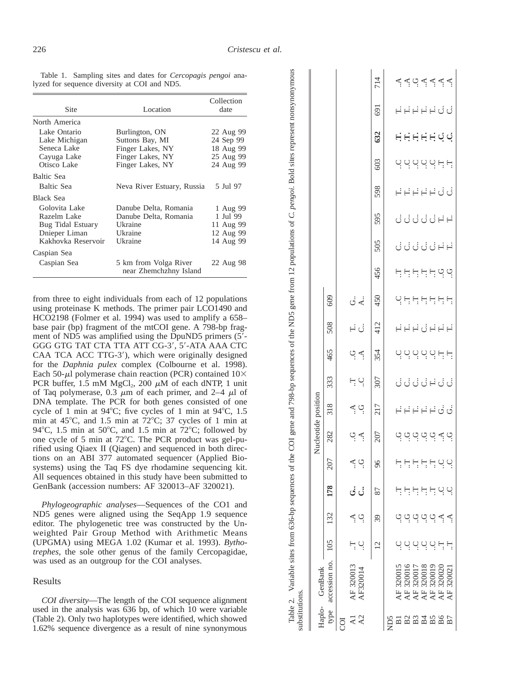$\overline{\mathbf{C}}$ 

700

707

 $V_{\text{c}}$  and  $V_{\text{c}}$  and  $V_{\text{c}}$  and  $V_{\text{c}}$ 

 $\epsilon$ Pakis.

Table 1. Sampling sites and dates for *Cercopagis pengoi* analyzed for sequence diversity at COI and ND5.

| <b>Site</b>                                                                                           | Location                                                                                      | Collection<br>date                                            |
|-------------------------------------------------------------------------------------------------------|-----------------------------------------------------------------------------------------------|---------------------------------------------------------------|
| North America                                                                                         |                                                                                               |                                                               |
| Lake Ontario<br>Lake Michigan<br>Seneca Lake<br>Cayuga Lake<br>Otisco Lake                            | Burlington, ON<br>Suttons Bay, MI<br>Finger Lakes, NY<br>Finger Lakes, NY<br>Finger Lakes, NY | 22 Aug 99<br>24 Sep 99<br>18 Aug 99<br>25 Aug 99<br>24 Aug 99 |
| Baltic Sea<br>Baltic Sea                                                                              | Neva River Estuary, Russia                                                                    | 5 Jul 97                                                      |
| Black Sea<br>Golovita Lake<br>Razelm Lake<br>Bug Tidal Estuary<br>Dnieper Liman<br>Kakhovka Reservoir | Danube Delta, Romania<br>Danube Delta, Romania<br>Ukraine<br>Ukraine<br>Ukraine               | 1 Aug 99<br>1 Jul 99<br>11 Aug 99<br>12 Aug 99<br>14 Aug 99   |
| Caspian Sea<br>Caspian Sea                                                                            | 5 km from Volga River<br>near Zhemchzhny Island                                               | 22 Aug 98                                                     |

from three to eight individuals from each of 12 populations using proteinase K methods. The primer pair LCO1490 and HCO2198 (Folmer et al. 1994) was used to amplify a 658base pair (bp) fragment of the mtCOI gene. A 798-bp fragment of ND5 was amplified using the DpuND5 primers (5'-GGG GTG TAT CTA TTA ATT CG-3', 5'-ATA AAA CTC CAA TCA ACC TTG-3'), which were originally designed for the *Daphnia pulex* complex (Colbourne et al. 1998). Each 50- $\mu$ l polymerase chain reaction (PCR) contained 10× PCR buffer, 1.5 mM  $MgCl<sub>2</sub>$ , 200  $\mu$ M of each dNTP, 1 unit of Taq polymerase, 0.3  $\mu$ m of each primer, and 2-4  $\mu$ l of DNA template. The PCR for both genes consisted of one cycle of 1 min at 94 $^{\circ}$ C; five cycles of 1 min at 94 $^{\circ}$ C, 1.5 min at  $45^{\circ}$ C, and 1.5 min at  $72^{\circ}$ C; 37 cycles of 1 min at 94°C, 1.5 min at 50°C, and 1.5 min at 72°C; followed by one cycle of 5 min at 72°C. The PCR product was gel-purified using Qiaex II (Qiagen) and sequenced in both directions on an ABI 377 automated sequencer (Applied Biosystems) using the Taq FS dye rhodamine sequencing kit. All sequences obtained in this study have been submitted to GenBank (accession numbers: AF 320013-AF 320021).

Phylogeographic analyses-Sequences of the CO1 and ND5 genes were aligned using the SeqApp 1.9 sequence editor. The phylogenetic tree was constructed by the Unweighted Pair Group Method with Arithmetic Means (UPGMA) using MEGA 1.02 (Kumar et al. 1993). Bytho*trephes,* the sole other genus of the family Cercopagidae, was used as an outgroup for the COI analyses.

## Results

COI diversity—The length of the COI sequence alignment used in the analysis was 636 bp, of which 10 were variable (Table 2). Only two haplotypes were identified, which showed 1.62% sequence divergence as a result of nine synonymous

| substitutions   | Table 2. Variable sites from 636-bp sequences of the COI |                |                        |                         |                  |                     | gene and 7        |         |        | 998-bp sequences of the ND5 gene from 12 populations of C. $pengoi$ . Bold sites represent |         |      |        |               |       |               |        | nonsynonymous |                    |
|-----------------|----------------------------------------------------------|----------------|------------------------|-------------------------|------------------|---------------------|-------------------|---------|--------|--------------------------------------------------------------------------------------------|---------|------|--------|---------------|-------|---------------|--------|---------------|--------------------|
|                 | Haplo- GenBank                                           |                |                        |                         |                  | Nucleotide position |                   |         |        |                                                                                            |         |      |        |               |       |               |        |               |                    |
| type            | accession no.                                            | 105            | 132                    | 178                     | 207              | 282                 | 318               | 333     | 465    | 508                                                                                        | 609     |      |        |               |       |               |        |               |                    |
| <b>SO</b>       |                                                          |                |                        |                         |                  |                     |                   |         |        |                                                                                            |         |      |        |               |       |               |        |               |                    |
| $\overline{A}$  | AF 320013                                                | Ę              |                        | ن ن                     | Ą.               |                     |                   | Η Q     | به ب   | FÜ                                                                                         | ن<br>خا |      |        |               |       |               |        |               |                    |
| A2              | AF320014                                                 | .<br>ب         | $\vec{\mathcal{L}}$ פֿ |                         | ۬<br>:           | ় ≺্                | $\breve{\vec{C}}$ |         |        |                                                                                            |         |      |        |               |       |               |        |               |                    |
|                 |                                                          | $\overline{c}$ | 39                     | 87                      | 96               | 207                 | 217               | 307     | 354    | 412                                                                                        | 450     | 456  | 505    | 595           | 598   | 603           | 632    | <u>[69</u>    | 714                |
| ND <sub>5</sub> |                                                          |                |                        |                         |                  |                     |                   |         |        |                                                                                            |         |      |        |               |       |               |        |               |                    |
|                 | AF 320015                                                |                |                        |                         |                  |                     |                   |         |        |                                                                                            |         |      |        |               |       |               |        |               |                    |
|                 | AF 320016                                                |                |                        | F<br>$\overline{\cdot}$ |                  |                     |                   |         |        |                                                                                            |         |      |        |               |       |               |        |               |                    |
|                 | AF 320017                                                | o didiri       |                        | Ę                       |                  |                     |                   |         |        |                                                                                            |         |      |        |               |       |               |        |               |                    |
|                 | AF 320018                                                |                |                        | Ę                       |                  |                     |                   |         |        |                                                                                            |         |      |        |               |       |               |        |               |                    |
| 223285          | AF 320019                                                |                | بُ نُہ نُہ کا کو ن     | F C                     | 부탁탁탁달            | ب و به و به و به و  | FFFFF99           | むじごじドごご | 먹먹으으으는 | eedee                                                                                      | 999999  | פותה | đđđđđể | ย่ง่ง่ง่ศี่ศี | FFFFF | 덕 - 이 이 이 다 다 | HHHHUU | FFFFFQQ       | <u>द्दुष्टद्दद</u> |
|                 | AF 320020                                                | Ę              |                        |                         |                  |                     |                   |         |        |                                                                                            |         |      |        |               |       |               |        |               |                    |
|                 | AF 32002                                                 | Ë              | ېم                     | ب                       | $\sum_{i=1}^{n}$ |                     |                   |         |        |                                                                                            |         |      |        |               |       |               |        |               |                    |
|                 |                                                          |                |                        |                         |                  |                     |                   |         |        |                                                                                            |         |      |        |               |       |               |        |               |                    |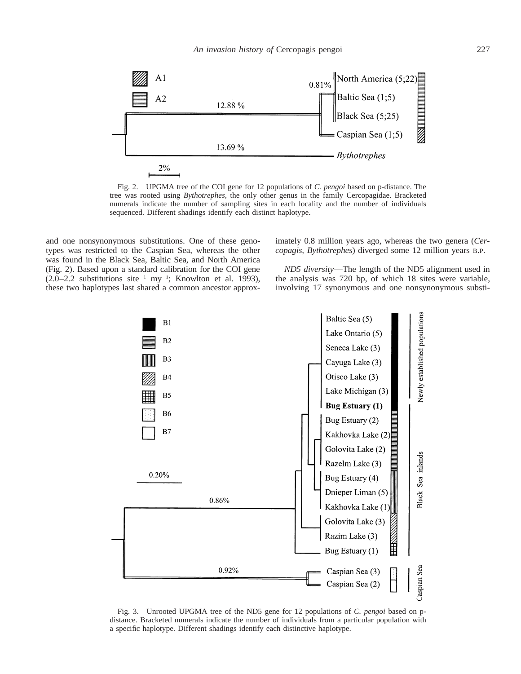

Fig. 2. UPGMA tree of the COI gene for 12 populations of *C. pengoi* based on p-distance. The tree was rooted using *Bythotrephes,* the only other genus in the family Cercopagidae. Bracketed numerals indicate the number of sampling sites in each locality and the number of individuals sequenced. Different shadings identify each distinct haplotype.

and one nonsynonymous substitutions. One of these genotypes was restricted to the Caspian Sea, whereas the other was found in the Black Sea, Baltic Sea, and North America (Fig. 2). Based upon a standard calibration for the COI gene  $(2.0-2.2$  substitutions site<sup>-1</sup> my<sup>-1</sup>; Knowlton et al. 1993), these two haplotypes last shared a common ancestor approximately 0.8 million years ago, whereas the two genera (*Cercopagis, Bythotrephes*) diverged some 12 million years B.P.

*ND5 diversity*—The length of the ND5 alignment used in the analysis was 720 bp, of which 18 sites were variable, involving 17 synonymous and one nonsynonymous substi-



Fig. 3. Unrooted UPGMA tree of the ND5 gene for 12 populations of *C. pengoi* based on pdistance. Bracketed numerals indicate the number of individuals from a particular population with a specific haplotype. Different shadings identify each distinctive haplotype.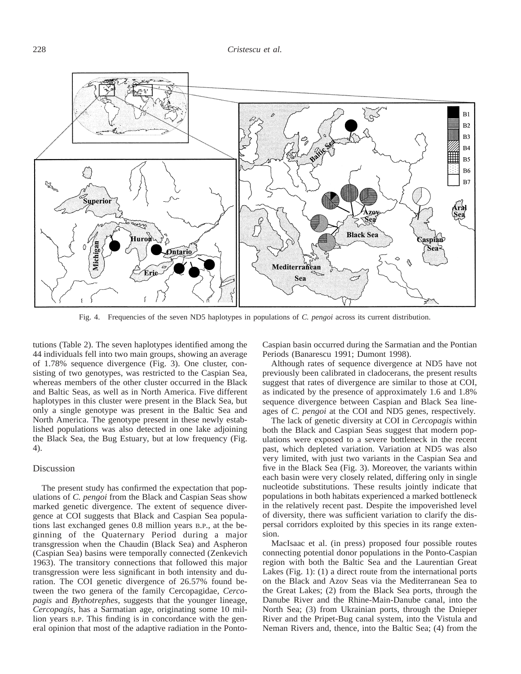

Fig. 4. Frequencies of the seven ND5 haplotypes in populations of *C. pengoi* across its current distribution.

tutions (Table 2). The seven haplotypes identified among the 44 individuals fell into two main groups, showing an average of 1.78% sequence divergence (Fig. 3). One cluster, consisting of two genotypes, was restricted to the Caspian Sea, whereas members of the other cluster occurred in the Black and Baltic Seas, as well as in North America. Five different haplotypes in this cluster were present in the Black Sea, but only a single genotype was present in the Baltic Sea and North America. The genotype present in these newly established populations was also detected in one lake adjoining the Black Sea, the Bug Estuary, but at low frequency (Fig. 4).

#### Discussion

The present study has confirmed the expectation that populations of *C. pengoi* from the Black and Caspian Seas show marked genetic divergence. The extent of sequence divergence at COI suggests that Black and Caspian Sea populations last exchanged genes 0.8 million years B.P., at the beginning of the Quaternary Period during a major transgression when the Chaudin (Black Sea) and Aspheron (Caspian Sea) basins were temporally connected (Zenkevich 1963). The transitory connections that followed this major transgression were less significant in both intensity and duration. The COI genetic divergence of 26.57% found between the two genera of the family Cercopagidae, *Cercopagis* and *Bythotrephes,* suggests that the younger lineage, *Cercopagis,* has a Sarmatian age, originating some 10 million years B.P. This finding is in concordance with the general opinion that most of the adaptive radiation in the PontoCaspian basin occurred during the Sarmatian and the Pontian Periods (Banarescu 1991; Dumont 1998).

Although rates of sequence divergence at ND5 have not previously been calibrated in cladocerans, the present results suggest that rates of divergence are similar to those at COI, as indicated by the presence of approximately 1.6 and 1.8% sequence divergence between Caspian and Black Sea lineages of *C. pengoi* at the COI and ND5 genes, respectively.

The lack of genetic diversity at COI in *Cercopagis* within both the Black and Caspian Seas suggest that modern populations were exposed to a severe bottleneck in the recent past, which depleted variation. Variation at ND5 was also very limited, with just two variants in the Caspian Sea and five in the Black Sea (Fig. 3). Moreover, the variants within each basin were very closely related, differing only in single nucleotide substitutions. These results jointly indicate that populations in both habitats experienced a marked bottleneck in the relatively recent past. Despite the impoverished level of diversity, there was sufficient variation to clarify the dispersal corridors exploited by this species in its range extension.

MacIsaac et al. (in press) proposed four possible routes connecting potential donor populations in the Ponto-Caspian region with both the Baltic Sea and the Laurentian Great Lakes (Fig. 1): (1) a direct route from the international ports on the Black and Azov Seas via the Mediterranean Sea to the Great Lakes; (2) from the Black Sea ports, through the Danube River and the Rhine-Main-Danube canal, into the North Sea; (3) from Ukrainian ports, through the Dnieper River and the Pripet-Bug canal system, into the Vistula and Neman Rivers and, thence, into the Baltic Sea; (4) from the